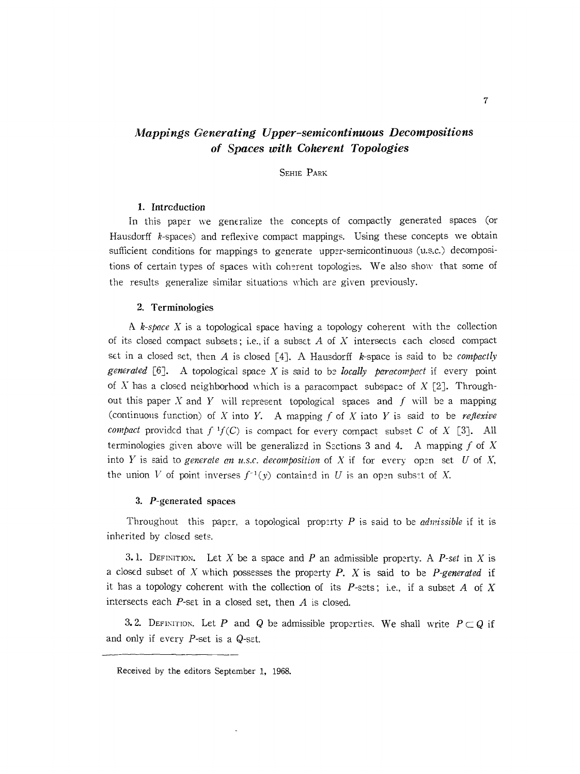# *Mappings Generating Upper-semicontinuous Decompositions* of *Spaces with Coherent Topologies*

## SEHIE PARK

## 1. Introduction

In this paper we generalize the concepts of compactly generated spaces (or Hausdorff k-spaces) and reflexive compact mappings. Using these concepts we obtain sufficient conditions for mappings to generate upper-semicontinuous (u.s.c.) decompositions of certain types of spaces with coherent topologies. We also show that some of the results generalize similar situations which are given previously.

## 2. Terminologies

A *k-space* X is a topological space having a topology coherent with the collection of its closed compact subsets; i.e., if a subset  $A$  of  $X$  intersects each closed compact set in a closed set, then *A* is closed [4J. A Hausdorff k-space is said to be *compactly generated* [6]. A topological space X is said to be *locally paracompact* if every point of  $X$  has a closed neighborhood which is a paracompact subspace of  $X$  [2]. Throughout this paper X and *Y* will represent topological spaces and f will be a mapping (continuous function) of X into Y. A mapping f of X into Y is said to be *reflexive compact* provided that  $f^{-1}f(C)$  is compact for every compact subset C of X [3]. All terminologies given above will be generalized in Sections 3 and 4. A mapping  $f$  of  $X$ into Y is said to *generate* an u.s.c. decomposition of X if for every open set U of X, the union V of point inverses  $f^{-1}(y)$  contained in U is an open subset of X.

### 3. P-generated spaces

Throughout this paper, a topological property *P* is said to be *admissible* if it is inherited by closed sets.

3.1. DEFINITION. Let X be a space and P an admissible property. A P-set in X is a cloSE:d subset of X which possesses the property *P.* X is said to be *P-generated* if it has a topology coherent with the collection of its  $P$ -sets; i.e., if a subset A of X intersects each *P-set* in a closed set, then *A* is closed.

3.2. DEFINITION. Let *P* and *Q* be admissible properties. We shall write  $P \subset Q$  if and only if every P-set is a Q-set.

Received by the editors September 1, 1968.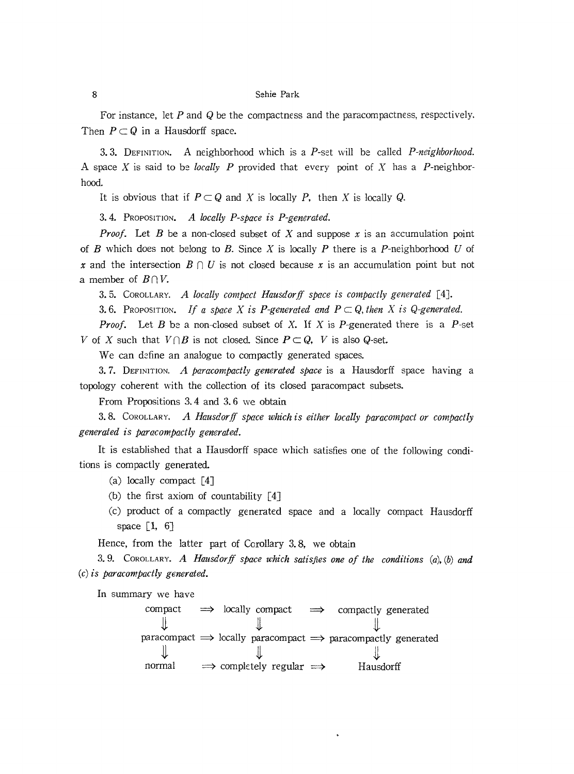For instance, let P and *Q* be the compactness and the paracompactness, respectively. Then  $P \subset Q$  in a Hausdorff space.

3.3. DEFINITION. A neighborhood which is a P-set will be called *P-neighborhood.* A space X is said to be *locally P* provided that every point of X has a *P-neighbor*hood.

It is obvious that if  $P \subset Q$  and X is locally *P*, then X is locally *Q*.

3.4. PROPOSITION. *A locally P-space is P-generated.*

*Proof.* Let *B* be a non-closed subset of *X* and suppose  $x$  is an accumulation point of B which does not belong to B. Since X is locally P there is a P-neighborhood U of *x* and the intersection  $B \cap U$  is not closed because *x* is an accumulation point but not a member of  $B \cap V$ .

3.5. COROLLARY. *A locally compact Hausdorff space is compactly generated* [4J.

**3.6.** Proposition. If a space X is P-generated and  $P \subset Q$ , then X is Q-generated.

*Proof.* Let *B* be a non-closed subset of *X*. If *X* is *P*-generated there is a *P*-set *V* of *X* such that  $V \cap B$  is not closed. Since  $P \subset Q$ , *V* is also *Q*-set.

We can define an analogue to compactly generated spaces.

3. 7. DEFINITION. *A paracompactly generated space* is a Hausdorff space having a topology coherent with the collection of its closed paracompact subsets.

From Propositions 3.4 and 3. 6 we obtain

3.8. COROLLARY. *A Hausdorff space which is either locally paracompact or compactly generated is paracompactly generated.*

It is established that a Hausdorff space which satisfies one of the following conditions is compactly generated.

(a) locally compact [4]

(b) the first axiom of countability  $[4]$ 

Cc) product of a compactly generated space and a locally compact Hausdorff space  $[1, 6]$ 

Hence, from the latter part of Corollary 3.8, we obtain

3.9. COROLLARY. *A Hausdorff space u'hich satiSfies one of the conditions (a), (b) and (c) is paracompactly generated.*

In summary we have

compact  $\implies$  locally compact  $\implies$  compactly generated paracompact  $\implies$  locally paracompact  $\implies$  paracompactly generated JL  $normal \implies \text{complex} \implies \text{Hausdorff}$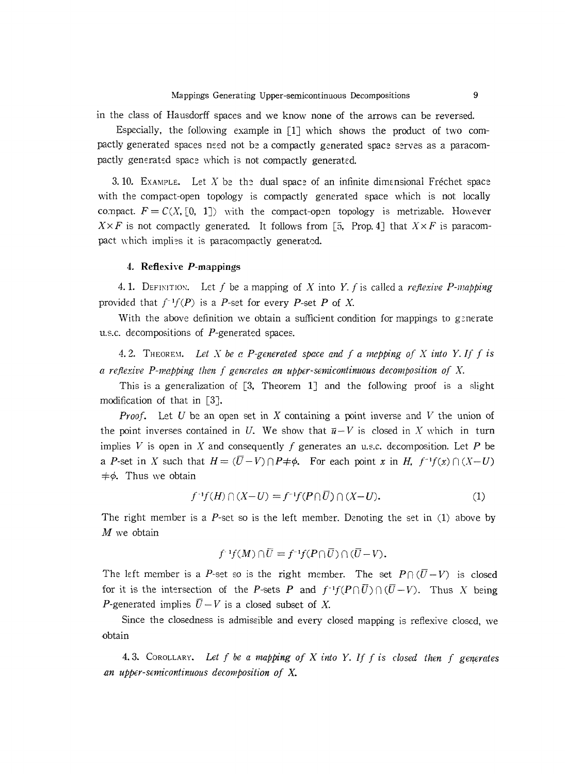Especially, the following example in  $[1]$  which shows the product of two compactly generated spaces need not be a compactly generated space serves as a paracompactly generated space which is not compactly generated.

3. 10. EXAMPLE. Let  $X$  be the dual space of an infinite dimensional Fréchet space with the compact-open topology is compactly generated space which is not locally compact.  $F = C(X, [0, 1])$  with the compact-open topology is metrizable. However  $X \times F$  is not compactly generated. It follows from [5, Prop. 4] that  $X \times F$  is paracompact which implies it is paracompactly generated.

#### 4. Reflexive  $P$ -mappings

4. 1. DEFINITION. Let  $f$  be a mapping of  $X$  into  $Y$ .  $f$  is called a *reflexive*  $P$ -mapping provided that  $f^{-1}f(P)$  is a *P*-set for every *P*-set *P* of *X*.

With the above definition we obtain a sufficient condition for mappings to generate u.s.c. decompositions of P-generated spaces.

4.2. THEORD1. *Let* X *be* c *P-generated space and f a mapping of* X *into* Y. *If f is* a *reflexive P-mcpping then f generates an upper-semicontinuous decomposition of* X.

This is a generalization of [3, Theorem 1] and the following proof is a slight modification of that in [3J.

*Proof.* Let U be an open set in X containing a point inverse and V the union of the point inverses contained in U. We show that  $\bar{u}-V$  is closed in X which in turn implies V is open in X and consequently f generates an u.s.c. decomposition. Let P be a P-set in X such that  $H = (\overline{U} - V) \cap P \neq \emptyset$ . For each point *x* in H,  $f^{-1}f(x) \cap (X-U)$  $\neq \phi$ . Thus we obtain

$$
f^{-1}f(H) \cap (X-U) = f^{-1}f(P \cap \overline{U}) \cap (X-U). \tag{1}
$$

The right member is a  $P$ -set so is the left member. Denoting the set in  $(1)$  above by  $M$  we obtain

$$
f^{-1}f(M)\cap \overline{U}=f^{-1}f(P\cap \overline{U})\cap (\overline{U}-V).
$$

The left member is a P-set so is the right member. The set  $P \cap (\overline{U} - V)$  is closed for it is the intersection of the *P*-sets *P* and  $f^{-1}f(P \cap \overline{U}) \cap (\overline{U} - V)$ . Thus *X* being *P*-generated implies  $\overline{U} - V$  is a closed subset of X.

Since the closedness is admissible and every closed mapping is reflexive closed, we obtain

4.3. COROLLARY. Let  $f$  be a mapping of  $X$  *into*  $Y$ . If  $f$  *is* closed then  $f$  generates *.an upper-semicontinuous decomposition of* x.